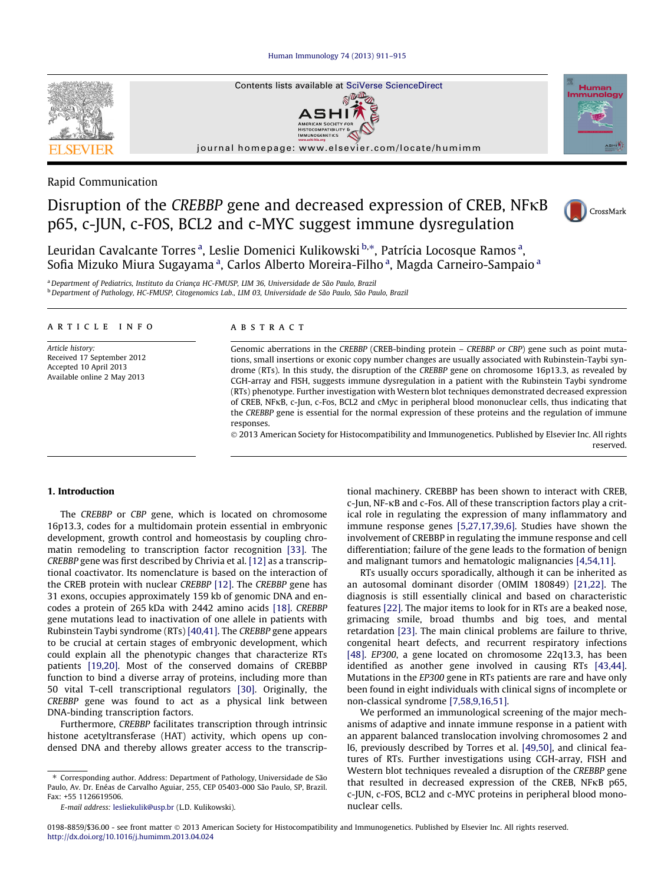Human Immunology 74 (2013) 911–915



Rapid Communication

# Disruption of the CREBBP gene and decreased expression of CREB, NFKB p65, c-JUN, c-FOS, BCL2 and c-MYC suggest immune dysregulation



Leuridan Cavalcante Torres<sup>a</sup>, Leslie Domenici Kulikowski b,\*, Patrícia Locosque Ramos<sup>a</sup>, Sofia Mizuko Miura Sugayama <sup>a</sup>, Carlos Alberto Moreira-Filho <sup>a</sup>, Magda Carneiro-Sampaio <sup>a</sup>

<sup>a</sup> Department of Pediatrics, Instituto da Criança HC-FMUSP, LIM 36, Universidade de São Paulo, Brazil <sup>b</sup> Department of Pathology, HC-FMUSP, Citogenomics Lab., LIM 03, Universidade de São Paulo, São Paulo, Brazil

# article info

Article history: Received 17 September 2012 Accepted 10 April 2013 Available online 2 May 2013

### ABSTRACT

Genomic aberrations in the CREBBP (CREB-binding protein – CREBBP or CBP) gene such as point mutations, small insertions or exonic copy number changes are usually associated with Rubinstein-Taybi syndrome (RTs). In this study, the disruption of the CREBBP gene on chromosome 16p13.3, as revealed by CGH-array and FISH, suggests immune dysregulation in a patient with the Rubinstein Taybi syndrome (RTs) phenotype. Further investigation with Western blot techniques demonstrated decreased expression of CREB, NFKB, c-Jun, c-Fos, BCL2 and cMyc in peripheral blood mononuclear cells, thus indicating that the CREBBP gene is essential for the normal expression of these proteins and the regulation of immune responses.

© 2013 American Society for Histocompatibility and Immunogenetics. Published by Elsevier Inc. All rights reserved.

#### 1. Introduction

The CREBBP or CBP gene, which is located on chromosome 16p13.3, codes for a multidomain protein essential in embryonic development, growth control and homeostasis by coupling chromatin remodeling to transcription factor recognition [33]. The CREBBP gene was first described by Chrivia et al. [12] as a transcriptional coactivator. Its nomenclature is based on the interaction of the CREB protein with nuclear CREBBP [12]. The CREBBP gene has 31 exons, occupies approximately 159 kb of genomic DNA and encodes a protein of 265 kDa with 2442 amino acids [18]. CREBBP gene mutations lead to inactivation of one allele in patients with Rubinstein Taybi syndrome (RTs) [40,41]. The CREBBP gene appears to be crucial at certain stages of embryonic development, which could explain all the phenotypic changes that characterize RTs patients [19,20]. Most of the conserved domains of CREBBP function to bind a diverse array of proteins, including more than 50 vital T-cell transcriptional regulators [30]. Originally, the CREBBP gene was found to act as a physical link between DNA-binding transcription factors.

Furthermore, CREBBP facilitates transcription through intrinsic histone acetyltransferase (HAT) activity, which opens up condensed DNA and thereby allows greater access to the transcriptional machinery. CREBBP has been shown to interact with CREB,  $c$ -Jun, NF- $\kappa$ B and  $c$ -Fos. All of these transcription factors play a critical role in regulating the expression of many inflammatory and immune response genes [5,27,17,39,6]. Studies have shown the involvement of CREBBP in regulating the immune response and cell differentiation; failure of the gene leads to the formation of benign and malignant tumors and hematologic malignancies [4,54,11].

RTs usually occurs sporadically, although it can be inherited as an autosomal dominant disorder (OMIM 180849) [21,22]. The diagnosis is still essentially clinical and based on characteristic features [22]. The major items to look for in RTs are a beaked nose, grimacing smile, broad thumbs and big toes, and mental retardation [23]. The main clinical problems are failure to thrive, congenital heart defects, and recurrent respiratory infections [48]. EP300, a gene located on chromosome 22q13.3, has been identified as another gene involved in causing RTs [43,44]. Mutations in the EP300 gene in RTs patients are rare and have only been found in eight individuals with clinical signs of incomplete or non-classical syndrome [7,58,9,16,51].

We performed an immunological screening of the major mechanisms of adaptive and innate immune response in a patient with an apparent balanced translocation involving chromosomes 2 and l6, previously described by Torres et al. [49,50], and clinical features of RTs. Further investigations using CGH-array, FISH and Western blot techniques revealed a disruption of the CREBBP gene that resulted in decreased expression of the CREB, NFKB p65, c-JUN, c-FOS, BCL2 and c-MYC proteins in peripheral blood mononuclear cells.

<sup>⇑</sup> Corresponding author. Address: Department of Pathology, Universidade de São Paulo, Av. Dr. Enéas de Carvalho Aguiar, 255, CEP 05403-000 São Paulo, SP, Brazil. Fax: +55 1126619506.

E-mail address: lesliekulik@usp.br (L.D. Kulikowski).

<sup>0198-8859/\$36.00 -</sup> see front matter © 2013 American Society for Histocompatibility and Immunogenetics. Published by Elsevier Inc. All rights reserved. http://dx.doi.org/10.1016/j.humimm.2013.04.024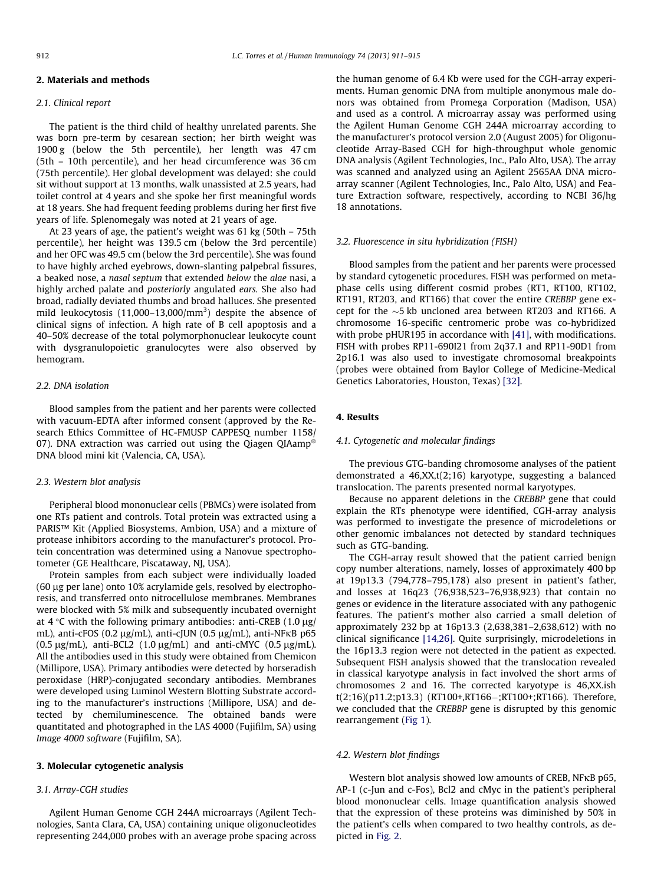# 2. Materials and methods

# 2.1. Clinical report

The patient is the third child of healthy unrelated parents. She was born pre-term by cesarean section; her birth weight was 1900 g (below the 5th percentile), her length was 47 cm (5th – 10th percentile), and her head circumference was 36 cm (75th percentile). Her global development was delayed: she could sit without support at 13 months, walk unassisted at 2.5 years, had toilet control at 4 years and she spoke her first meaningful words at 18 years. She had frequent feeding problems during her first five years of life. Splenomegaly was noted at 21 years of age.

At 23 years of age, the patient's weight was 61 kg (50th – 75th percentile), her height was 139.5 cm (below the 3rd percentile) and her OFC was 49.5 cm (below the 3rd percentile). She was found to have highly arched eyebrows, down-slanting palpebral fissures, a beaked nose, a nasal septum that extended below the alae nasi, a highly arched palate and posteriorly angulated ears. She also had broad, radially deviated thumbs and broad halluces. She presented mild leukocytosis (11,000–13,000/mm<sup>3</sup>) despite the absence of clinical signs of infection. A high rate of B cell apoptosis and a 40–50% decrease of the total polymorphonuclear leukocyte count with dysgranulopoietic granulocytes were also observed by hemogram.

# 2.2. DNA isolation

Blood samples from the patient and her parents were collected with vacuum-EDTA after informed consent (approved by the Research Ethics Committee of HC-FMUSP CAPPESQ number 1158/ 07). DNA extraction was carried out using the Qiagen QIAamp® DNA blood mini kit (Valencia, CA, USA).

#### 2.3. Western blot analysis

Peripheral blood mononuclear cells (PBMCs) were isolated from one RTs patient and controls. Total protein was extracted using a PARIS™ Kit (Applied Biosystems, Ambion, USA) and a mixture of protease inhibitors according to the manufacturer's protocol. Protein concentration was determined using a Nanovue spectrophotometer (GE Healthcare, Piscataway, NJ, USA).

Protein samples from each subject were individually loaded (60  $\mu$ g per lane) onto 10% acrylamide gels, resolved by electrophoresis, and transferred onto nitrocellulose membranes. Membranes were blocked with 5% milk and subsequently incubated overnight at  $4^{\circ}$ C with the following primary antibodies: anti-CREB (1.0 µg/ mL), anti-cFOS (0.2  $\mu$ g/mL), anti-cJUN (0.5  $\mu$ g/mL), anti-NF $\kappa$ B p65  $(0.5 \text{ µg/mL})$ , anti-BCL2  $(1.0 \text{ µg/mL})$  and anti-cMYC  $(0.5 \text{ µg/mL})$ . All the antibodies used in this study were obtained from Chemicon (Millipore, USA). Primary antibodies were detected by horseradish peroxidase (HRP)-conjugated secondary antibodies. Membranes were developed using Luminol Western Blotting Substrate according to the manufacturer's instructions (Millipore, USA) and detected by chemiluminescence. The obtained bands were quantitated and photographed in the LAS 4000 (Fujifilm, SA) using Image 4000 software (Fujifilm, SA).

#### 3. Molecular cytogenetic analysis

## 3.1. Array-CGH studies

Agilent Human Genome CGH 244A microarrays (Agilent Technologies, Santa Clara, CA, USA) containing unique oligonucleotides representing 244,000 probes with an average probe spacing across the human genome of 6.4 Kb were used for the CGH-array experiments. Human genomic DNA from multiple anonymous male donors was obtained from Promega Corporation (Madison, USA) and used as a control. A microarray assay was performed using the Agilent Human Genome CGH 244A microarray according to the manufacturer's protocol version 2.0 (August 2005) for Oligonucleotide Array-Based CGH for high-throughput whole genomic DNA analysis (Agilent Technologies, Inc., Palo Alto, USA). The array was scanned and analyzed using an Agilent 2565AA DNA microarray scanner (Agilent Technologies, Inc., Palo Alto, USA) and Feature Extraction software, respectively, according to NCBI 36/hg 18 annotations.

#### 3.2. Fluorescence in situ hybridization (FISH)

Blood samples from the patient and her parents were processed by standard cytogenetic procedures. FISH was performed on metaphase cells using different cosmid probes (RT1, RT100, RT102, RT191, RT203, and RT166) that cover the entire CREBBP gene except for the  $\sim$ 5 kb uncloned area between RT203 and RT166. A chromosome 16-specific centromeric probe was co-hybridized with probe pHUR195 in accordance with [41], with modifications. FISH with probes RP11-690I21 from 2q37.1 and RP11-90D1 from 2p16.1 was also used to investigate chromosomal breakpoints (probes were obtained from Baylor College of Medicine-Medical Genetics Laboratories, Houston, Texas) [32].

# 4. Results

#### 4.1. Cytogenetic and molecular findings

The previous GTG-banding chromosome analyses of the patient demonstrated a 46,XX,t(2;16) karyotype, suggesting a balanced translocation. The parents presented normal karyotypes.

Because no apparent deletions in the CREBBP gene that could explain the RTs phenotype were identified, CGH-array analysis was performed to investigate the presence of microdeletions or other genomic imbalances not detected by standard techniques such as GTG-banding.

The CGH-array result showed that the patient carried benign copy number alterations, namely, losses of approximately 400 bp at 19p13.3 (794,778–795,178) also present in patient's father, and losses at 16q23 (76,938,523–76,938,923) that contain no genes or evidence in the literature associated with any pathogenic features. The patient's mother also carried a small deletion of approximately 232 bp at 16p13.3 (2,638,381–2,638,612) with no clinical significance [14,26]. Quite surprisingly, microdeletions in the 16p13.3 region were not detected in the patient as expected. Subsequent FISH analysis showed that the translocation revealed in classical karyotype analysis in fact involved the short arms of chromosomes 2 and 16. The corrected karyotype is 46,XX.ish  $t(2;16)(p11.2;p13.3)$  (RT100+,RT166-;RT100+;RT166). Therefore, we concluded that the CREBBP gene is disrupted by this genomic rearrangement (Fig 1).

# 4.2. Western blot findings

Western blot analysis showed low amounts of CREB, NFKB p65, AP-1 (c-Jun and c-Fos), Bcl2 and cMyc in the patient's peripheral blood mononuclear cells. Image quantification analysis showed that the expression of these proteins was diminished by 50% in the patient's cells when compared to two healthy controls, as depicted in Fig. 2.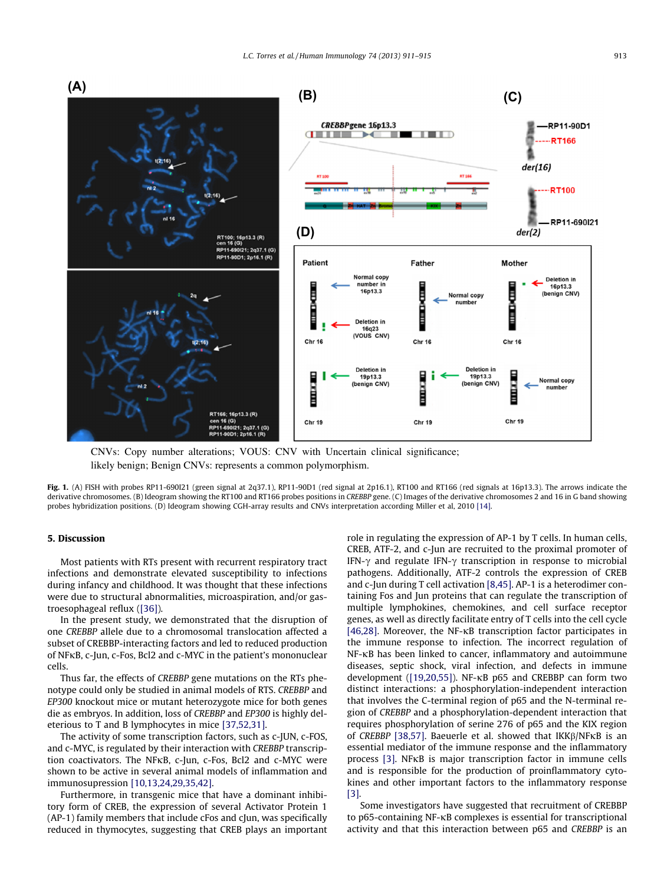

CNVs: Copy number alterations; VOUS: CNV with Uncertain clinical significance; likely benign; Benign CNVs: represents a common polymorphism.

Fig. 1. (A) FISH with probes RP11-690I21 (green signal at 2q37.1), RP11-90D1 (red signal at 2p16.1), RT100 and RT166 (red signals at 16p13.3). The arrows indicate the derivative chromosomes. (B) Ideogram showing the RT100 and RT166 probes positions in CREBBP gene. (C) Images of the derivative chromosomes 2 and 16 in G band showing probes hybridization positions. (D) Ideogram showing CGH-array results and CNVs interpretation according Miller et al, 2010 [14].

## 5. Discussion

Most patients with RTs present with recurrent respiratory tract infections and demonstrate elevated susceptibility to infections during infancy and childhood. It was thought that these infections were due to structural abnormalities, microaspiration, and/or gastroesophageal reflux ([36]).

In the present study, we demonstrated that the disruption of one CREBBP allele due to a chromosomal translocation affected a subset of CREBBP-interacting factors and led to reduced production of NFKB, c-Jun, c-Fos, Bcl2 and c-MYC in the patient's mononuclear cells.

Thus far, the effects of CREBBP gene mutations on the RTs phenotype could only be studied in animal models of RTS. CREBBP and EP300 knockout mice or mutant heterozygote mice for both genes die as embryos. In addition, loss of CREBBP and EP300 is highly deleterious to T and B lymphocytes in mice [37,52,31].

The activity of some transcription factors, such as c-JUN, c-FOS, and c-MYC, is regulated by their interaction with CREBBP transcription coactivators. The NFKB, c-Jun, c-Fos, Bcl2 and c-MYC were shown to be active in several animal models of inflammation and immunosupression [10,13,24,29,35,42].

Furthermore, in transgenic mice that have a dominant inhibitory form of CREB, the expression of several Activator Protein 1 (AP-1) family members that include cFos and cJun, was specifically reduced in thymocytes, suggesting that CREB plays an important role in regulating the expression of AP-1 by T cells. In human cells, CREB, ATF-2, and c-Jun are recruited to the proximal promoter of IFN- $\gamma$  and regulate IFN- $\gamma$  transcription in response to microbial pathogens. Additionally, ATF-2 controls the expression of CREB and c-Jun during T cell activation [8,45]. AP-1 is a heterodimer containing Fos and Jun proteins that can regulate the transcription of multiple lymphokines, chemokines, and cell surface receptor genes, as well as directly facilitate entry of T cells into the cell cycle [46,28]. Moreover, the NF- $\kappa$ B transcription factor participates in the immune response to infection. The incorrect regulation of  $NF$ - $KB$  has been linked to cancer, inflammatory and autoimmune diseases, septic shock, viral infection, and defects in immune development ([19,20,55]). NF- $\kappa$ B p65 and CREBBP can form two distinct interactions: a phosphorylation-independent interaction that involves the C-terminal region of p65 and the N-terminal region of CREBBP and a phosphorylation-dependent interaction that requires phosphorylation of serine 276 of p65 and the KIX region of CREBBP [38,57]. Baeuerle et al. showed that  $IKK\beta/NFKB$  is an essential mediator of the immune response and the inflammatory process [3]. NFKB is major transcription factor in immune cells and is responsible for the production of proinflammatory cytokines and other important factors to the inflammatory response [3].

Some investigators have suggested that recruitment of CREBBP to p65-containing NF- $\kappa$ B complexes is essential for transcriptional activity and that this interaction between p65 and CREBBP is an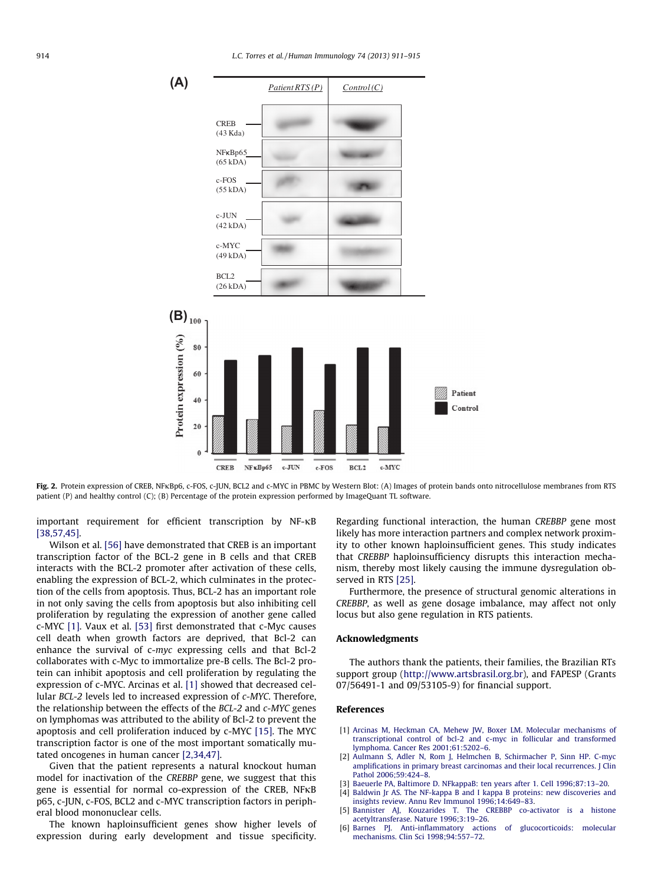



important requirement for efficient transcription by  $NF-\kappa B$ [38,57,45].

Wilson et al. [56] have demonstrated that CREB is an important transcription factor of the BCL-2 gene in B cells and that CREB interacts with the BCL-2 promoter after activation of these cells, enabling the expression of BCL-2, which culminates in the protection of the cells from apoptosis. Thus, BCL-2 has an important role in not only saving the cells from apoptosis but also inhibiting cell proliferation by regulating the expression of another gene called c-MYC [1]. Vaux et al. [53] first demonstrated that c-Myc causes cell death when growth factors are deprived, that Bcl-2 can enhance the survival of c-myc expressing cells and that Bcl-2 collaborates with c-Myc to immortalize pre-B cells. The Bcl-2 protein can inhibit apoptosis and cell proliferation by regulating the expression of c-MYC. Arcinas et al. [1] showed that decreased cellular BCL-2 levels led to increased expression of c-MYC. Therefore, the relationship between the effects of the BCL-2 and c-MYC genes on lymphomas was attributed to the ability of Bcl-2 to prevent the apoptosis and cell proliferation induced by c-MYC [15]. The MYC transcription factor is one of the most important somatically mutated oncogenes in human cancer [2,34,47].

Given that the patient represents a natural knockout human model for inactivation of the CREBBP gene, we suggest that this gene is essential for normal co-expression of the CREB, NFKB p65, c-JUN, c-FOS, BCL2 and c-MYC transcription factors in peripheral blood mononuclear cells.

The known haploinsufficient genes show higher levels of expression during early development and tissue specificity.

Regarding functional interaction, the human CREBBP gene most likely has more interaction partners and complex network proximity to other known haploinsufficient genes. This study indicates that CREBBP haploinsufficiency disrupts this interaction mechanism, thereby most likely causing the immune dysregulation observed in RTS [25].

Furthermore, the presence of structural genomic alterations in CREBBP, as well as gene dosage imbalance, may affect not only locus but also gene regulation in RTS patients.

#### Acknowledgments

The authors thank the patients, their families, the Brazilian RTs support group (http://www.artsbrasil.org.br), and FAPESP (Grants 07/56491-1 and 09/53105-9) for financial support.

#### References

- [1] Arcinas M, Heckman CA, Mehew JW, Boxer LM. Molecular mechanisms of transcriptional control of bcl-2 and c-myc in follicular and transformed lymphoma. Cancer Res 2001;61:5202–6.
- [2] Aulmann S, Adler N, Rom J, Helmchen B, Schirmacher P, Sinn HP. C-myc amplifications in primary breast carcinomas and their local recurrences. J Clin Pathol 2006;59:424–8.
- Baeuerle PA, Baltimore D. NFkappaB: ten years after 1. Cell 1996;87:13-20.
- [4] Baldwin Jr AS. The NF-kappa B and I kappa B proteins: new discoveries and insights review. Annu Rev Immunol 1996;14:649–83.
- [5] Bannister AJ, Kouzarides T. The CREBBP co-activator is a histone acetyltransferase. Nature 1996;3:19–26.
- [6] Barnes PJ. Anti-inflammatory actions of glucocorticoids: molecular mechanisms. Clin Sci 1998;94:557–72.